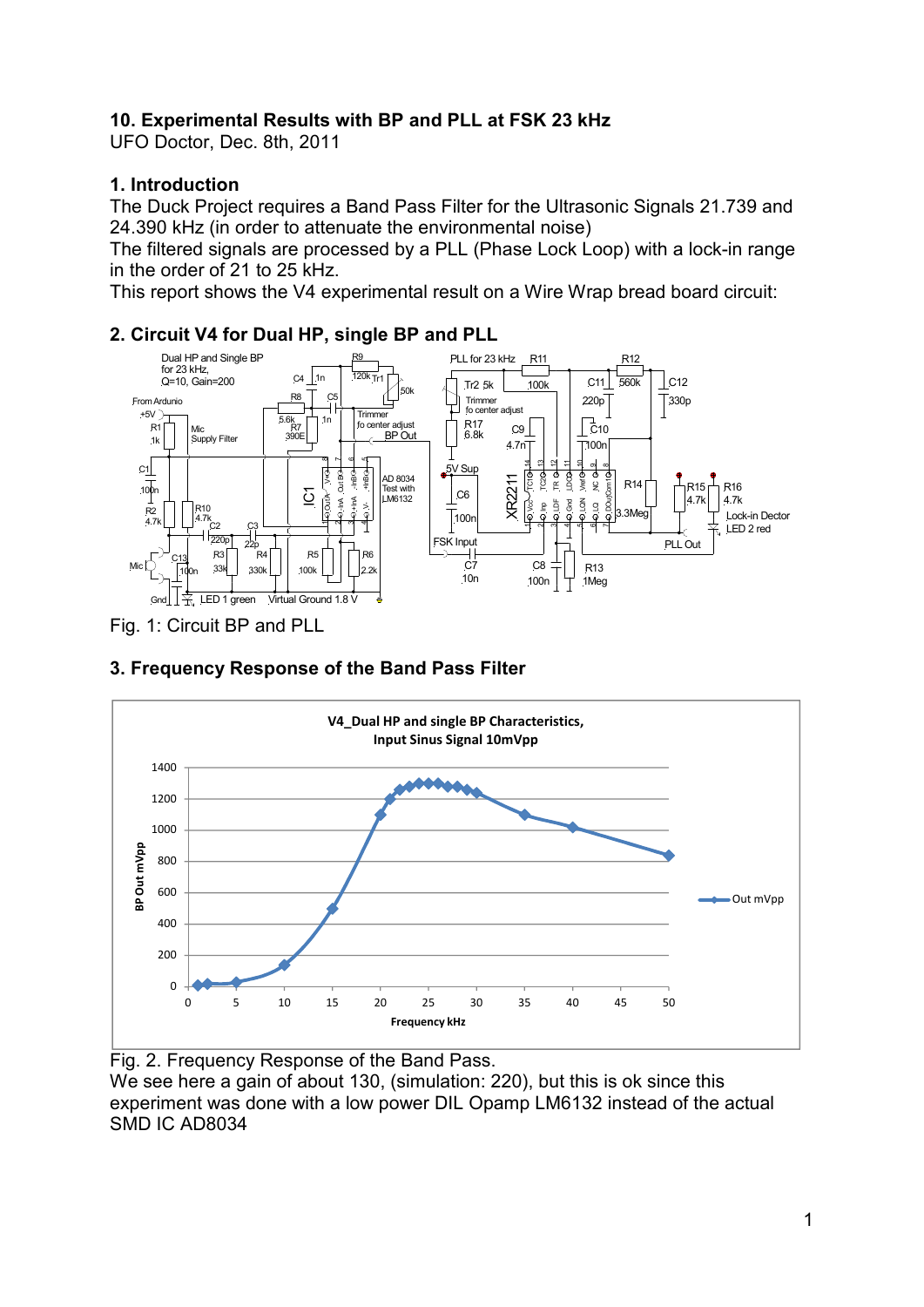## **10. Experimental Results with BP and PLL at FSK 23 kHz**

UFO Doctor, Dec. 8th, 2011

#### **1. Introduction**

The Duck Project requires a Band Pass Filter for the Ultrasonic Signals 21.739 and 24.390 kHz (in order to attenuate the environmental noise)

The filtered signals are processed by a PLL (Phase Lock Loop) with a lock-in range in the order of 21 to 25 kHz.

This report shows the V4 experimental result on a Wire Wrap bread board circuit:

#### **2. Circuit V4 for Dual HP, single BP and PLL**



Fig. 1: Circuit BP and PLL

# **3. Frequency Response of the Band Pass Filter**



Fig. 2. Frequency Response of the Band Pass. We see here a gain of about 130, (simulation: 220), but this is ok since this experiment was done with a low power DIL Opamp LM6132 instead of the actual SMD IC AD8034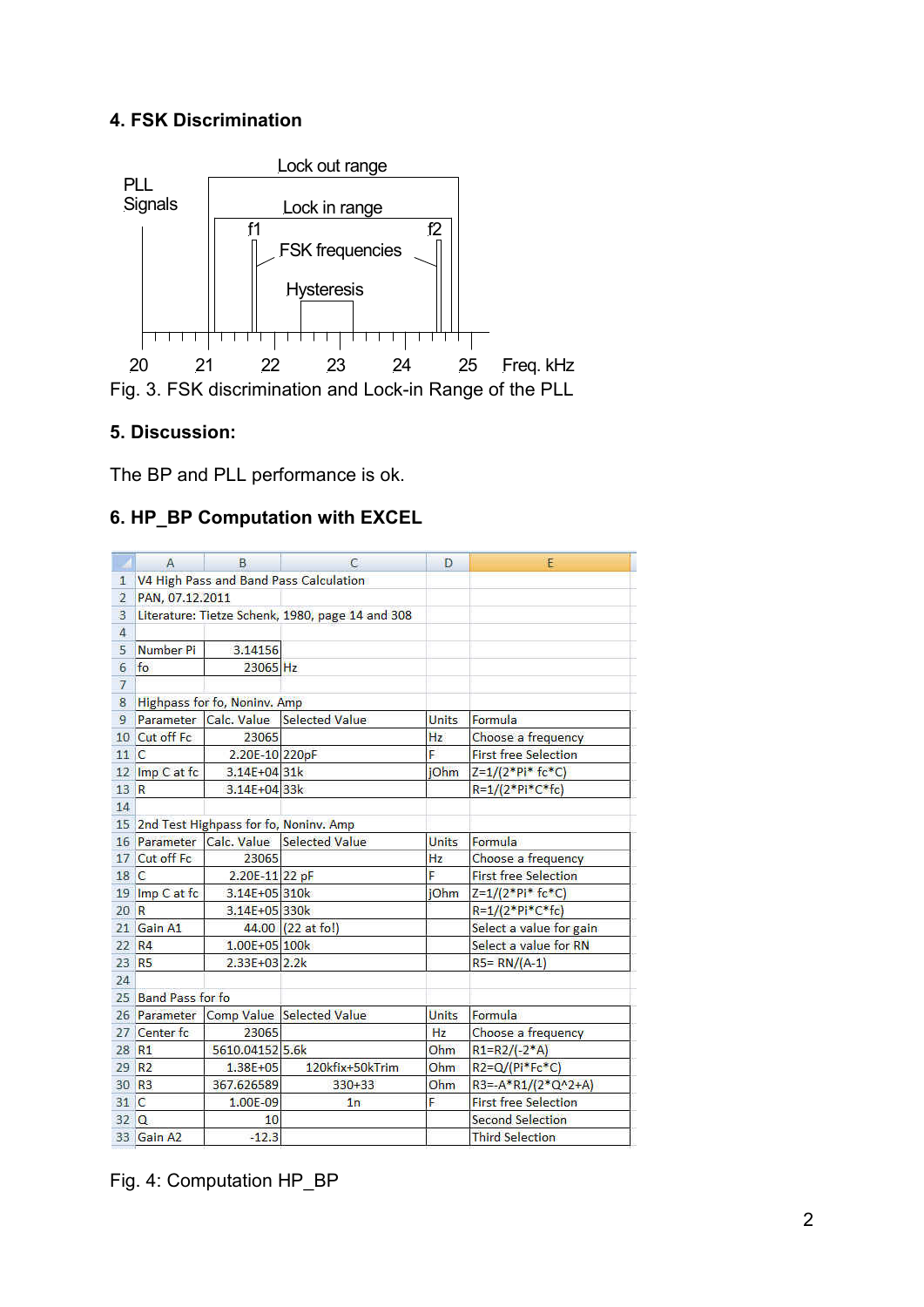### **4. FSK Discrimination**



#### **5. Discussion:**

The BP and PLL performance is ok.

### **6. HP\_BP Computation with EXCEL**

|                | Α                                                | B               | с                                      | D            | E                           |  |  |  |  |
|----------------|--------------------------------------------------|-----------------|----------------------------------------|--------------|-----------------------------|--|--|--|--|
| 1.             | V4 High Pass and Band Pass Calculation           |                 |                                        |              |                             |  |  |  |  |
| $\overline{2}$ | PAN, 07.12.2011                                  |                 |                                        |              |                             |  |  |  |  |
| 3              | Literature: Tietze Schenk, 1980, page 14 and 308 |                 |                                        |              |                             |  |  |  |  |
| $\overline{4}$ |                                                  |                 |                                        |              |                             |  |  |  |  |
| 5              | Number Pi                                        | 3.14156         |                                        |              |                             |  |  |  |  |
| 6              | fo                                               | 23065 Hz        |                                        |              |                             |  |  |  |  |
| $\overline{7}$ |                                                  |                 |                                        |              |                             |  |  |  |  |
| 8              | Highpass for fo, Noninv. Amp                     |                 |                                        |              |                             |  |  |  |  |
| 9              | Parameter                                        |                 | Calc. Value Selected Value             | <b>Units</b> | Formula                     |  |  |  |  |
| 10             | Cut off Fc                                       | 23065           | Hz                                     |              | Choose a frequency          |  |  |  |  |
| 11             | $\mathbb{C}$                                     | 2.20E-10 220pF  | Ė                                      |              | <b>First free Selection</b> |  |  |  |  |
| 12             | Imp C at fc                                      | $3.14E + 0431k$ | iOhm                                   |              | $Z=1/(2*Pi*fc*C)$           |  |  |  |  |
| 13             | R                                                | $3.14E + 0433k$ |                                        |              | R=1/(2*Pi*C*fc)             |  |  |  |  |
| 14             |                                                  |                 |                                        |              |                             |  |  |  |  |
|                | 15 2nd Test Highpass for fo, Noniny. Amp         |                 |                                        |              |                             |  |  |  |  |
|                | 16 Parameter                                     | Calc. Value     | <b>Selected Value</b>                  | <b>Units</b> | Formula                     |  |  |  |  |
| 17             | Cut off Fc                                       | 23065           |                                        | Hz           | Choose a frequency          |  |  |  |  |
| 18             | $\sqrt{2}$                                       | 2.20E-11 22 pF  |                                        | Þ            | <b>First free Selection</b> |  |  |  |  |
|                | 19 Imp C at fc                                   | 3.14E+05 310k   |                                        | jOhm         | $Z = 1/(2*Pi*fc*C)$         |  |  |  |  |
| 20 R           |                                                  | 3.14E+05 330k   |                                        |              | R=1/(2*Pi*C*fc)             |  |  |  |  |
|                | 21 Gain A1                                       |                 | 44.00 (22 at fo!)                      |              | Select a value for gain     |  |  |  |  |
|                | 22 R4                                            | 1.00E+05 100k   |                                        |              | Select a value for RN       |  |  |  |  |
| 23             | R <sub>5</sub>                                   | 2.33E+03 2.2k   |                                        |              | $RS = RN/(A-1)$             |  |  |  |  |
| 24             |                                                  |                 |                                        |              |                             |  |  |  |  |
| 25             | <b>Band Pass for fo</b>                          |                 |                                        |              |                             |  |  |  |  |
|                | 26 Parameter                                     |                 | Comp Value Selected Value              | <b>Units</b> | Formula                     |  |  |  |  |
| 27             | Center fc                                        | 23065           |                                        | Hz           | Choose a frequency          |  |  |  |  |
| 28             | R1                                               | 5610.04152 5.6k |                                        | Ohm          | $R1 = R2 / (-2*A)$          |  |  |  |  |
| 29             | R <sub>2</sub>                                   | $1.38E + 05$    | 120kfix+50kTrim                        | Ohm.         | R2=Q/(Pi*Fc*C)              |  |  |  |  |
|                | 30 R <sub>3</sub>                                | 367.626589      | $330 + 33$                             | Ohm          | $R3 = -A*R1/(2*Q^2+A)$      |  |  |  |  |
| 31 C           |                                                  | 1.00E-09        | Ë<br><b>First free Selection</b><br>1n |              |                             |  |  |  |  |
| 32             | $\Omega$                                         | 10              | <b>Second Selection</b>                |              |                             |  |  |  |  |
|                | 33 Gain A2                                       | $-12.3$         |                                        |              | <b>Third Selection</b>      |  |  |  |  |

Fig. 4: Computation HP\_BP